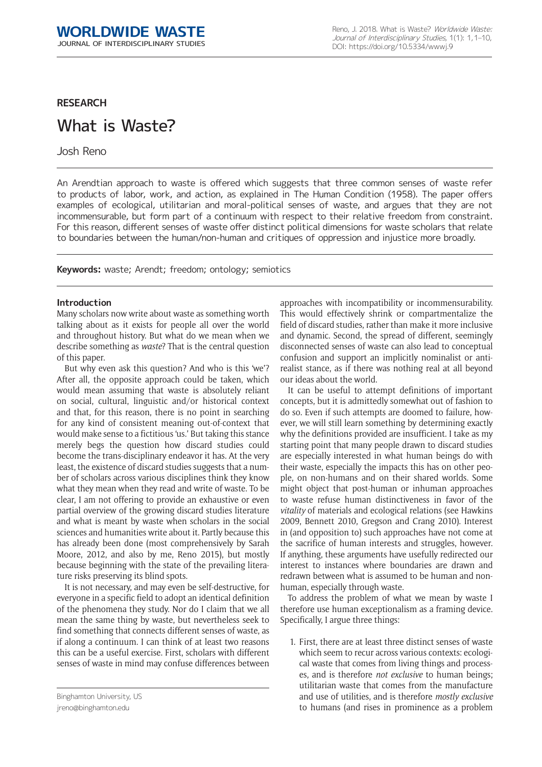# **RESEARCH**

# What is Waste?

Josh Reno

An Arendtian approach to waste is offered which suggests that three common senses of waste refer to products of labor, work, and action, as explained in The Human Condition (1958). The paper offers examples of ecological, utilitarian and moral-political senses of waste, and argues that they are not incommensurable, but form part of a continuum with respect to their relative freedom from constraint. For this reason, different senses of waste offer distinct political dimensions for waste scholars that relate to boundaries between the human/non-human and critiques of oppression and injustice more broadly.

**Keywords:** waste; Arendt; freedom; ontology; semiotics

## **Introduction**

Many scholars now write about waste as something worth talking about as it exists for people all over the world and throughout history. But what do we mean when we describe something as *waste*? That is the central question of this paper.

But why even ask this question? And who is this 'we'? After all, the opposite approach could be taken, which would mean assuming that waste is absolutely reliant on social, cultural, linguistic and/or historical context and that, for this reason, there is no point in searching for any kind of consistent meaning out-of-context that would make sense to a fictitious 'us.' But taking this stance merely begs the question how discard studies could become the trans-disciplinary endeavor it has. At the very least, the existence of discard studies suggests that a number of scholars across various disciplines think they know what they mean when they read and write of waste. To be clear, I am not offering to provide an exhaustive or even partial overview of the growing discard studies literature and what is meant by waste when scholars in the social sciences and humanities write about it. Partly because this has already been done (most comprehensively by Sarah Moore, 2012, and also by me, Reno 2015), but mostly because beginning with the state of the prevailing literature risks preserving its blind spots.

It is not necessary, and may even be self-destructive, for everyone in a specific field to adopt an identical definition of the phenomena they study. Nor do I claim that we all mean the same thing by waste, but nevertheless seek to find something that connects different senses of waste, as if along a continuum. I can think of at least two reasons this can be a useful exercise. First, scholars with different senses of waste in mind may confuse differences between

approaches with incompatibility or incommensurability. This would effectively shrink or compartmentalize the field of discard studies, rather than make it more inclusive and dynamic. Second, the spread of different, seemingly disconnected senses of waste can also lead to conceptual confusion and support an implicitly nominalist or antirealist stance, as if there was nothing real at all beyond our ideas about the world.

It can be useful to attempt definitions of important concepts, but it is admittedly somewhat out of fashion to do so. Even if such attempts are doomed to failure, however, we will still learn something by determining exactly why the definitions provided are insufficient. I take as my starting point that many people drawn to discard studies are especially interested in what human beings do with their waste, especially the impacts this has on other people, on non-humans and on their shared worlds. Some might object that post-human or inhuman approaches to waste refuse human distinctiveness in favor of the *vitality* of materials and ecological relations (see Hawkins 2009, Bennett 2010, Gregson and Crang 2010). Interest in (and opposition to) such approaches have not come at the sacrifice of human interests and struggles, however. If anything, these arguments have usefully redirected our interest to instances where boundaries are drawn and redrawn between what is assumed to be human and nonhuman, especially through waste.

To address the problem of what we mean by waste I therefore use human exceptionalism as a framing device. Specifically, I argue three things:

1. First, there are at least three distinct senses of waste which seem to recur across various contexts: ecological waste that comes from living things and processes, and is therefore *not exclusive* to human beings; utilitarian waste that comes from the manufacture and use of utilities, and is therefore *mostly exclusive* to humans (and rises in prominence as a problem

Binghamton University, US [jreno@binghamton.edu](mailto:jreno@binghamton.edu)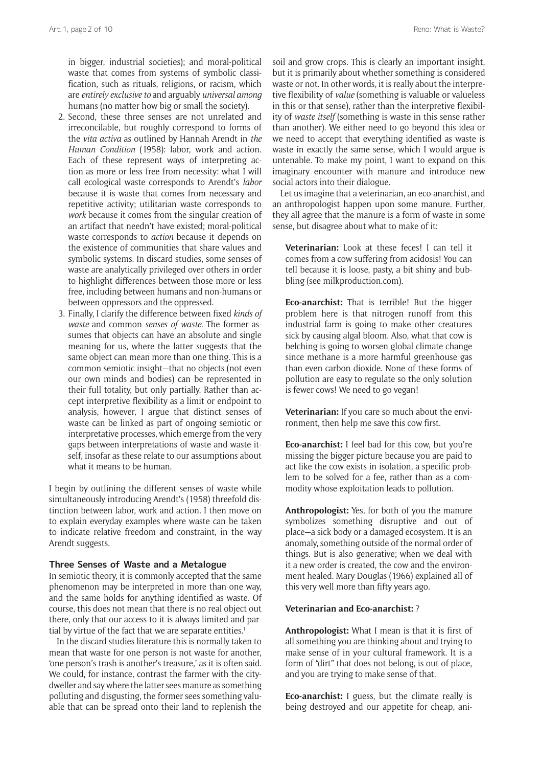in bigger, industrial societies); and moral-political waste that comes from systems of symbolic classification, such as rituals, religions, or racism, which are *entirely exclusive to* and arguably *universal among* humans (no matter how big or small the society).

- 2. Second, these three senses are not unrelated and irreconcilable, but roughly correspond to forms of the *vita activa* as outlined by Hannah Arendt in *the Human Condition* (1958): labor, work and action. Each of these represent ways of interpreting action as more or less free from necessity: what I will call ecological waste corresponds to Arendt's *labor* because it is waste that comes from necessary and repetitive activity; utilitarian waste corresponds to *work* because it comes from the singular creation of an artifact that needn't have existed; moral-political waste corresponds to *action* because it depends on the existence of communities that share values and symbolic systems. In discard studies, some senses of waste are analytically privileged over others in order to highlight differences between those more or less free, including between humans and non-humans or between oppressors and the oppressed.
- 3. Finally, I clarify the difference between fixed *kinds of waste* and common *senses of waste*. The former assumes that objects can have an absolute and single meaning for us, where the latter suggests that the same object can mean more than one thing. This is a common semiotic insight—that no objects (not even our own minds and bodies) can be represented in their full totality, but only partially. Rather than accept interpretive flexibility as a limit or endpoint to analysis, however, I argue that distinct senses of waste can be linked as part of ongoing semiotic or interpretative processes, which emerge from the very gaps between interpretations of waste and waste itself, insofar as these relate to our assumptions about what it means to be human.

I begin by outlining the different senses of waste while simultaneously introducing Arendt's (1958) threefold distinction between labor, work and action. I then move on to explain everyday examples where waste can be taken to indicate relative freedom and constraint, in the way Arendt suggests.

#### **Three Senses of Waste and a Metalogue**

In semiotic theory, it is commonly accepted that the same phenomenon may be interpreted in more than one way, and the same holds for anything identified as waste. Of course, this does not mean that there is no real object out there, only that our access to it is always limited and partial by virtue of the fact that we are separate entities.<sup>1</sup>

In the discard studies literature this is normally taken to mean that waste for one person is not waste for another, 'one person's trash is another's treasure,' as it is often said. We could, for instance, contrast the farmer with the citydweller and say where the latter sees manure as something polluting and disgusting, the former sees something valuable that can be spread onto their land to replenish the

soil and grow crops. This is clearly an important insight, but it is primarily about whether something is considered waste or not. In other words, it is really about the interpretive flexibility of *value* (something is valuable or valueless in this or that sense), rather than the interpretive flexibility of *waste itself* (something is waste in this sense rather than another). We either need to go beyond this idea or we need to accept that everything identified as waste is waste in exactly the same sense, which I would argue is untenable. To make my point, I want to expand on this imaginary encounter with manure and introduce new social actors into their dialogue.

Let us imagine that a veterinarian, an eco-anarchist, and an anthropologist happen upon some manure. Further, they all agree that the manure is a form of waste in some sense, but disagree about what to make of it:

**Veterinarian:** Look at these feces! I can tell it comes from a cow suffering from acidosis! You can tell because it is loose, pasty, a bit shiny and bubbling (see [milkproduction.com](http://milkproduction.com/)).

**Eco-anarchist:** That is terrible! But the bigger problem here is that nitrogen runoff from this industrial farm is going to make other creatures sick by causing algal bloom. Also, what that cow is belching is going to worsen global climate change since methane is a more harmful greenhouse gas than even carbon dioxide. None of these forms of pollution are easy to regulate so the only solution is fewer cows! We need to go vegan!

**Veterinarian:** If you care so much about the environment, then help me save this cow first.

**Eco-anarchist:** I feel bad for this cow, but you're missing the bigger picture because you are paid to act like the cow exists in isolation, a specific problem to be solved for a fee, rather than as a commodity whose exploitation leads to pollution.

**Anthropologist:** Yes, for both of you the manure symbolizes something disruptive and out of place—a sick body or a damaged ecosystem. It is an anomaly, something outside of the normal order of things. But is also generative; when we deal with it a new order is created, the cow and the environment healed. Mary Douglas (1966) explained all of this very well more than fifty years ago.

# **Veterinarian and Eco-anarchist:** ?

**Anthropologist:** What I mean is that it is first of all something you are thinking about and trying to make sense of in your cultural framework. It is a form of "dirt" that does not belong, is out of place, and you are trying to make sense of that.

**Eco-anarchist:** I guess, but the climate really is being destroyed and our appetite for cheap, ani-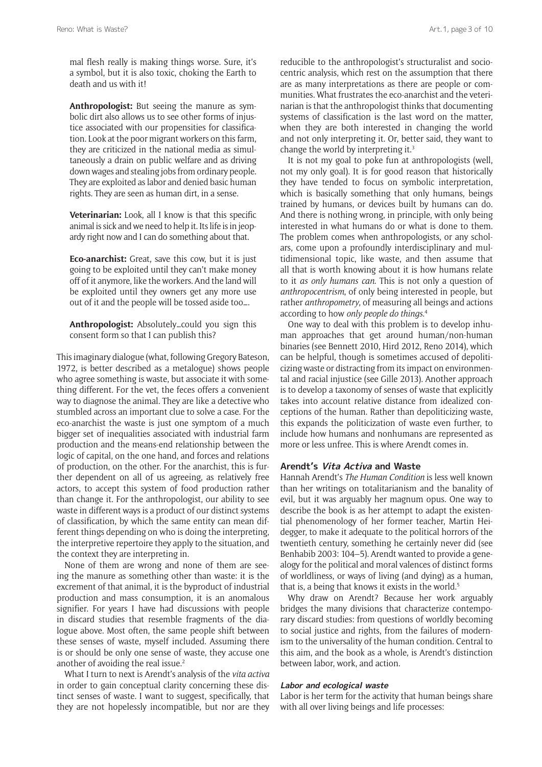mal flesh really is making things worse. Sure, it's a symbol, but it is also toxic, choking the Earth to death and us with it!

**Anthropologist:** But seeing the manure as symbolic dirt also allows us to see other forms of injustice associated with our propensities for classification. Look at the poor migrant workers on this farm, they are criticized in the national media as simultaneously a drain on public welfare and as driving down wages and stealing jobs from ordinary people. They are exploited as labor and denied basic human rights. They are seen as human dirt, in a sense.

**Veterinarian:** Look, all I know is that this specific animal is sick and we need to help it. Its life is in jeopardy right now and I can do something about that.

**Eco-anarchist:** Great, save this cow, but it is just going to be exploited until they can't make money off of it anymore, like the workers. And the land will be exploited until they owners get any more use out of it and the people will be tossed aside too….

**Anthropologist:** Absolutely…could you sign this consent form so that I can publish this?

This imaginary dialogue (what, following Gregory Bateson, 1972, is better described as a metalogue) shows people who agree something is waste, but associate it with something different. For the vet, the feces offers a convenient way to diagnose the animal. They are like a detective who stumbled across an important clue to solve a case. For the eco-anarchist the waste is just one symptom of a much bigger set of inequalities associated with industrial farm production and the means-end relationship between the logic of capital, on the one hand, and forces and relations of production, on the other. For the anarchist, this is further dependent on all of us agreeing, as relatively free actors, to accept this system of food production rather than change it. For the anthropologist, our ability to see waste in different ways is a product of our distinct systems of classification, by which the same entity can mean different things depending on who is doing the interpreting, the interpretive repertoire they apply to the situation, and the context they are interpreting in.

None of them are wrong and none of them are seeing the manure as something other than waste: it is the excrement of that animal, it is the byproduct of industrial production and mass consumption, it is an anomalous signifier. For years I have had discussions with people in discard studies that resemble fragments of the dialogue above. Most often, the same people shift between these senses of waste, myself included. Assuming there is or should be only one sense of waste, they accuse one another of avoiding the real issue.<sup>2</sup>

What I turn to next is Arendt's analysis of the *vita activa*  in order to gain conceptual clarity concerning these distinct senses of waste. I want to suggest, specifically, that they are not hopelessly incompatible, but nor are they reducible to the anthropologist's structuralist and sociocentric analysis, which rest on the assumption that there are as many interpretations as there are people or communities. What frustrates the eco-anarchist and the veterinarian is that the anthropologist thinks that documenting systems of classification is the last word on the matter, when they are both interested in changing the world and not only interpreting it. Or, better said, they want to change the world by interpreting it.3

It is not my goal to poke fun at anthropologists (well, not my only goal). It is for good reason that historically they have tended to focus on symbolic interpretation, which is basically something that only humans, beings trained by humans, or devices built by humans can do. And there is nothing wrong, in principle, with only being interested in what humans do or what is done to them. The problem comes when anthropologists, or any scholars, come upon a profoundly interdisciplinary and multidimensional topic, like waste, and then assume that all that is worth knowing about it is how humans relate to it *as only humans can*. This is not only a question of *anthropocentrism*, of only being interested in people, but rather *anthropometry*, of measuring all beings and actions according to how *only people do things*. 4

One way to deal with this problem is to develop inhuman approaches that get around human/non-human binaries (see Bennett 2010, Hird 2012, Reno 2014), which can be helpful, though is sometimes accused of depoliticizing waste or distracting from its impact on environmental and racial injustice (see Gille 2013). Another approach is to develop a taxonomy of senses of waste that explicitly takes into account relative distance from idealized conceptions of the human. Rather than depoliticizing waste, this expands the politicization of waste even further, to include how humans and nonhumans are represented as more or less unfree. This is where Arendt comes in.

# **Arendt's Vita Activa and Waste**

Hannah Arendt's *The Human Condition* is less well known than her writings on totalitarianism and the banality of evil, but it was arguably her magnum opus. One way to describe the book is as her attempt to adapt the existential phenomenology of her former teacher, Martin Heidegger, to make it adequate to the political horrors of the twentieth century, something he certainly never did (see Benhabib 2003: 104–5). Arendt wanted to provide a genealogy for the political and moral valences of distinct forms of worldliness, or ways of living (and dying) as a human, that is, a being that knows it exists in the world.<sup>5</sup>

Why draw on Arendt? Because her work arguably bridges the many divisions that characterize contemporary discard studies: from questions of worldly becoming to social justice and rights, from the failures of modernism to the universality of the human condition. Central to this aim, and the book as a whole, is Arendt's distinction between labor, work, and action.

#### **Labor and ecological waste**

Labor is her term for the activity that human beings share with all over living beings and life processes: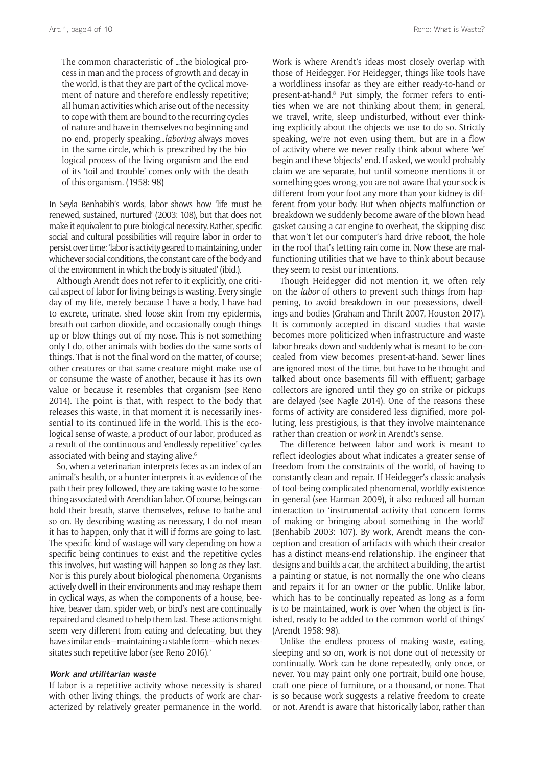The common characteristic of …the biological process in man and the process of growth and decay in the world, is that they are part of the cyclical movement of nature and therefore endlessly repetitive; all human activities which arise out of the necessity to cope with them are bound to the recurring cycles of nature and have in themselves no beginning and no end, properly speaking…*laboring* always moves in the same circle, which is prescribed by the biological process of the living organism and the end of its 'toil and trouble' comes only with the death of this organism. (1958: 98)

In Seyla Benhabib's words, labor shows how 'life must be renewed, sustained, nurtured' (2003: 108), but that does not make it equivalent to pure biological necessity. Rather, specific social and cultural possibilities will require labor in order to persist over time: 'labor is activity geared to maintaining, under whichever social conditions, the constant care of the body and of the environment in which the body is situated' (ibid.).

Although Arendt does not refer to it explicitly, one critical aspect of labor for living beings is wasting. Every single day of my life, merely because I have a body, I have had to excrete, urinate, shed loose skin from my epidermis, breath out carbon dioxide, and occasionally cough things up or blow things out of my nose. This is not something only I do, other animals with bodies do the same sorts of things. That is not the final word on the matter, of course; other creatures or that same creature might make use of or consume the waste of another, because it has its own value or because it resembles that organism (see Reno 2014). The point is that, with respect to the body that releases this waste, in that moment it is necessarily inessential to its continued life in the world. This is the ecological sense of waste, a product of our labor, produced as a result of the continuous and 'endlessly repetitive' cycles associated with being and staying alive.<sup>6</sup>

So, when a veterinarian interprets feces as an index of an animal's health, or a hunter interprets it as evidence of the path their prey followed, they are taking waste to be something associated with Arendtian labor. Of course, beings can hold their breath, starve themselves, refuse to bathe and so on. By describing wasting as necessary, I do not mean it has to happen, only that it will if forms are going to last. The specific kind of wastage will vary depending on how a specific being continues to exist and the repetitive cycles this involves, but wasting will happen so long as they last. Nor is this purely about biological phenomena. Organisms actively dwell in their environments and may reshape them in cyclical ways, as when the components of a house, beehive, beaver dam, spider web, or bird's nest are continually repaired and cleaned to help them last. These actions might seem very different from eating and defecating, but they have similar ends—maintaining a stable form—which necessitates such repetitive labor (see Reno 2016).<sup>7</sup>

#### **Work and utilitarian waste**

If labor is a repetitive activity whose necessity is shared with other living things, the products of work are characterized by relatively greater permanence in the world. Work is where Arendt's ideas most closely overlap with those of Heidegger. For Heidegger, things like tools have a worldliness insofar as they are either ready-to-hand or present-at-hand.8 Put simply, the former refers to entities when we are not thinking about them; in general, we travel, write, sleep undisturbed, without ever thinking explicitly about the objects we use to do so. Strictly speaking, we're not even using them, but are in a flow of activity where we never really think about where 'we' begin and these 'objects' end. If asked, we would probably claim we are separate, but until someone mentions it or something goes wrong, you are not aware that your sock is different from your foot any more than your kidney is different from your body. But when objects malfunction or breakdown we suddenly become aware of the blown head gasket causing a car engine to overheat, the skipping disc that won't let our computer's hard drive reboot, the hole in the roof that's letting rain come in. Now these are malfunctioning utilities that we have to think about because they seem to resist our intentions.

Though Heidegger did not mention it, we often rely on the *labor* of others to prevent such things from happening, to avoid breakdown in our possessions, dwellings and bodies (Graham and Thrift 2007, Houston 2017). It is commonly accepted in discard studies that waste becomes more politicized when infrastructure and waste labor breaks down and suddenly what is meant to be concealed from view becomes present-at-hand. Sewer lines are ignored most of the time, but have to be thought and talked about once basements fill with effluent; garbage collectors are ignored until they go on strike or pickups are delayed (see Nagle 2014). One of the reasons these forms of activity are considered less dignified, more polluting, less prestigious, is that they involve maintenance rather than creation or *work* in Arendt's sense.

The difference between labor and work is meant to reflect ideologies about what indicates a greater sense of freedom from the constraints of the world, of having to constantly clean and repair. If Heidegger's classic analysis of tool-being complicated phenomenal, worldly existence in general (see Harman 2009), it also reduced all human interaction to 'instrumental activity that concern forms of making or bringing about something in the world' (Benhabib 2003: 107). By work, Arendt means the conception and creation of artifacts with which their creator has a distinct means-end relationship. The engineer that designs and builds a car, the architect a building, the artist a painting or statue, is not normally the one who cleans and repairs it for an owner or the public. Unlike labor, which has to be continually repeated as long as a form is to be maintained, work is over 'when the object is finished, ready to be added to the common world of things' (Arendt 1958: 98).

Unlike the endless process of making waste, eating, sleeping and so on, work is not done out of necessity or continually. Work can be done repeatedly, only once, or never. You may paint only one portrait, build one house, craft one piece of furniture, or a thousand, or none. That is so because work suggests a relative freedom to create or not. Arendt is aware that historically labor, rather than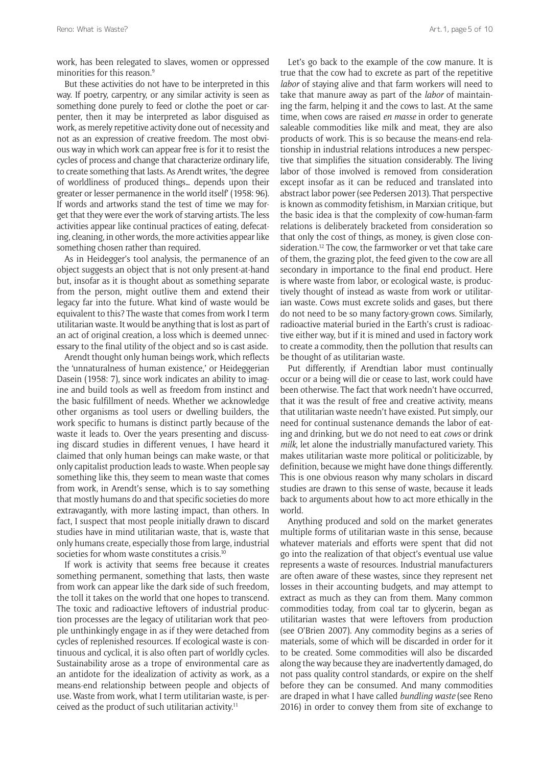work, has been relegated to slaves, women or oppressed minorities for this reason.9

But these activities do not have to be interpreted in this way. If poetry, carpentry, or any similar activity is seen as something done purely to feed or clothe the poet or carpenter, then it may be interpreted as labor disguised as work, as merely repetitive activity done out of necessity and not as an expression of creative freedom. The most obvious way in which work can appear free is for it to resist the cycles of process and change that characterize ordinary life, to create something that lasts. As Arendt writes, 'the degree of worldliness of produced things… depends upon their greater or lesser permanence in the world itself' (1958: 96). If words and artworks stand the test of time we may forget that they were ever the work of starving artists. The less activities appear like continual practices of eating, defecating, cleaning, in other words, the more activities appear like something chosen rather than required.

As in Heidegger's tool analysis, the permanence of an object suggests an object that is not only present-at-hand but, insofar as it is thought about as something separate from the person, might outlive them and extend their legacy far into the future. What kind of waste would be equivalent to this? The waste that comes from work I term utilitarian waste. It would be anything that is lost as part of an act of original creation, a loss which is deemed unnecessary to the final utility of the object and so is cast aside.

Arendt thought only human beings work, which reflects the 'unnaturalness of human existence,' or Heideggerian Dasein (1958: 7), since work indicates an ability to imagine and build tools as well as freedom from instinct and the basic fulfillment of needs. Whether we acknowledge other organisms as tool users or dwelling builders, the work specific to humans is distinct partly because of the waste it leads to. Over the years presenting and discussing discard studies in different venues, I have heard it claimed that only human beings can make waste, or that only capitalist production leads to waste. When people say something like this, they seem to mean waste that comes from work, in Arendt's sense, which is to say something that mostly humans do and that specific societies do more extravagantly, with more lasting impact, than others. In fact, I suspect that most people initially drawn to discard studies have in mind utilitarian waste, that is, waste that only humans create, especially those from large, industrial societies for whom waste constitutes a crisis.<sup>10</sup>

If work is activity that seems free because it creates something permanent, something that lasts, then waste from work can appear like the dark side of such freedom, the toll it takes on the world that one hopes to transcend. The toxic and radioactive leftovers of industrial production processes are the legacy of utilitarian work that people unthinkingly engage in as if they were detached from cycles of replenished resources. If ecological waste is continuous and cyclical, it is also often part of worldly cycles. Sustainability arose as a trope of environmental care as an antidote for the idealization of activity as work, as a means-end relationship between people and objects of use. Waste from work, what I term utilitarian waste, is perceived as the product of such utilitarian activity.11

Let's go back to the example of the cow manure. It is true that the cow had to excrete as part of the repetitive *labor* of staying alive and that farm workers will need to take that manure away as part of the *labor* of maintaining the farm, helping it and the cows to last. At the same time, when cows are raised *en masse* in order to generate saleable commodities like milk and meat, they are also products of work. This is so because the means-end relationship in industrial relations introduces a new perspective that simplifies the situation considerably. The living labor of those involved is removed from consideration except insofar as it can be reduced and translated into abstract labor power (see Pedersen 2013). That perspective is known as commodity fetishism, in Marxian critique, but the basic idea is that the complexity of cow-human-farm relations is deliberately bracketed from consideration so that only the cost of things, as money, is given close consideration.12 The cow, the farmworker or vet that take care of them, the grazing plot, the feed given to the cow are all secondary in importance to the final end product. Here is where waste from labor, or ecological waste, is productively thought of instead as waste from work or utilitarian waste. Cows must excrete solids and gases, but there do not need to be so many factory-grown cows. Similarly, radioactive material buried in the Earth's crust is radioactive either way, but if it is mined and used in factory work to create a commodity, then the pollution that results can be thought of as utilitarian waste.

Put differently, if Arendtian labor must continually occur or a being will die or cease to last, work could have been otherwise. The fact that work needn't have occurred, that it was the result of free and creative activity, means that utilitarian waste needn't have existed. Put simply, our need for continual sustenance demands the labor of eating and drinking, but we do not need to eat *cows* or drink *milk*, let alone the industrially manufactured variety. This makes utilitarian waste more political or politicizable, by definition, because we might have done things differently. This is one obvious reason why many scholars in discard studies are drawn to this sense of waste, because it leads back to arguments about how to act more ethically in the world.

Anything produced and sold on the market generates multiple forms of utilitarian waste in this sense, because whatever materials and efforts were spent that did not go into the realization of that object's eventual use value represents a waste of resources. Industrial manufacturers are often aware of these wastes, since they represent net losses in their accounting budgets, and may attempt to extract as much as they can from them. Many common commodities today, from coal tar to glycerin, began as utilitarian wastes that were leftovers from production (see O'Brien 2007). Any commodity begins as a series of materials, some of which will be discarded in order for it to be created. Some commodities will also be discarded along the way because they are inadvertently damaged, do not pass quality control standards, or expire on the shelf before they can be consumed. And many commodities are draped in what I have called *bundling waste* (see Reno 2016) in order to convey them from site of exchange to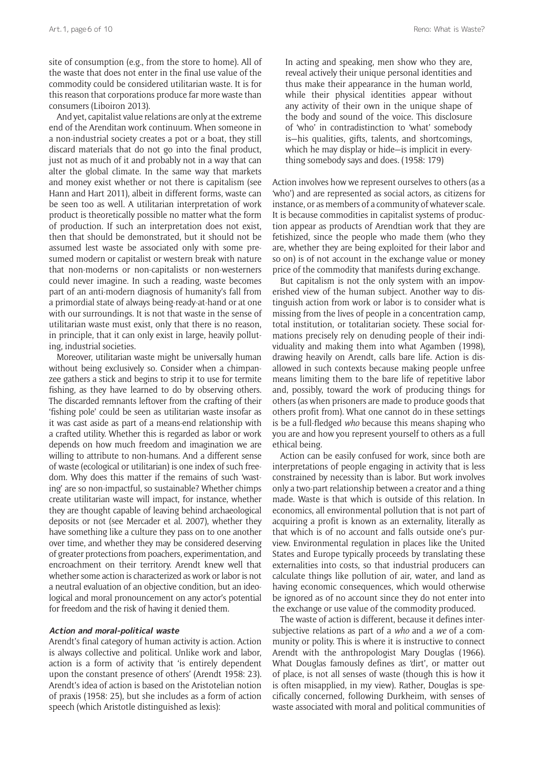site of consumption (e.g., from the store to home). All of the waste that does not enter in the final use value of the commodity could be considered utilitarian waste. It is for this reason that corporations produce far more waste than consumers (Liboiron 2013).

And yet, capitalist value relations are only at the extreme end of the Arenditan work continuum. When someone in a non-industrial society creates a pot or a boat, they still discard materials that do not go into the final product, just not as much of it and probably not in a way that can alter the global climate. In the same way that markets and money exist whether or not there is capitalism (see Hann and Hart 2011), albeit in different forms, waste can be seen too as well. A utilitarian interpretation of work product is theoretically possible no matter what the form of production. If such an interpretation does not exist, then that should be demonstrated, but it should not be assumed lest waste be associated only with some presumed modern or capitalist or western break with nature that non-moderns or non-capitalists or non-westerners could never imagine. In such a reading, waste becomes part of an anti-modern diagnosis of humanity's fall from a primordial state of always being-ready-at-hand or at one with our surroundings. It is not that waste in the sense of utilitarian waste must exist, only that there is no reason, in principle, that it can only exist in large, heavily polluting, industrial societies.

Moreover, utilitarian waste might be universally human without being exclusively so. Consider when a chimpanzee gathers a stick and begins to strip it to use for termite fishing, as they have learned to do by observing others. The discarded remnants leftover from the crafting of their 'fishing pole' could be seen as utilitarian waste insofar as it was cast aside as part of a means-end relationship with a crafted utility. Whether this is regarded as labor or work depends on how much freedom and imagination we are willing to attribute to non-humans. And a different sense of waste (ecological or utilitarian) is one index of such freedom. Why does this matter if the remains of such 'wasting' are so non-impactful, so sustainable? Whether chimps create utilitarian waste will impact, for instance, whether they are thought capable of leaving behind archaeological deposits or not (see Mercader et al. 2007), whether they have something like a culture they pass on to one another over time, and whether they may be considered deserving of greater protections from poachers, experimentation, and encroachment on their territory. Arendt knew well that whether some action is characterized as work or labor is not a neutral evaluation of an objective condition, but an ideological and moral pronouncement on any actor's potential for freedom and the risk of having it denied them.

#### **Action and moral-political waste**

Arendt's final category of human activity is action. Action is always collective and political. Unlike work and labor, action is a form of activity that 'is entirely dependent upon the constant presence of others' (Arendt 1958: 23). Arendt's idea of action is based on the Aristotelian notion of praxis (1958: 25), but she includes as a form of action speech (which Aristotle distinguished as lexis):

In acting and speaking, men show who they are, reveal actively their unique personal identities and thus make their appearance in the human world, while their physical identities appear without any activity of their own in the unique shape of the body and sound of the voice. This disclosure of 'who' in contradistinction to 'what' somebody is—his qualities, gifts, talents, and shortcomings, which he may display or hide—is implicit in everything somebody says and does. (1958: 179)

Action involves how we represent ourselves to others (as a 'who') and are represented as social actors, as citizens for instance, or as members of a community of whatever scale. It is because commodities in capitalist systems of production appear as products of Arendtian work that they are fetishized, since the people who made them (who they are, whether they are being exploited for their labor and so on) is of not account in the exchange value or money price of the commodity that manifests during exchange.

But capitalism is not the only system with an impoverished view of the human subject. Another way to distinguish action from work or labor is to consider what is missing from the lives of people in a concentration camp, total institution, or totalitarian society. These social formations precisely rely on denuding people of their individuality and making them into what Agamben (1998), drawing heavily on Arendt, calls bare life. Action is disallowed in such contexts because making people unfree means limiting them to the bare life of repetitive labor and, possibly, toward the work of producing things for others (as when prisoners are made to produce goods that others profit from). What one cannot do in these settings is be a full-fledged *who* because this means shaping who you are and how you represent yourself to others as a full ethical being.

Action can be easily confused for work, since both are interpretations of people engaging in activity that is less constrained by necessity than is labor. But work involves only a two-part relationship between a creator and a thing made. Waste is that which is outside of this relation. In economics, all environmental pollution that is not part of acquiring a profit is known as an externality, literally as that which is of no account and falls outside one's purview. Environmental regulation in places like the United States and Europe typically proceeds by translating these externalities into costs, so that industrial producers can calculate things like pollution of air, water, and land as having economic consequences, which would otherwise be ignored as of no account since they do not enter into the exchange or use value of the commodity produced.

The waste of action is different, because it defines intersubjective relations as part of a *who* and a *we* of a community or polity. This is where it is instructive to connect Arendt with the anthropologist Mary Douglas (1966). What Douglas famously defines as 'dirt', or matter out of place, is not all senses of waste (though this is how it is often misapplied, in my view). Rather, Douglas is specifically concerned, following Durkheim, with senses of waste associated with moral and political communities of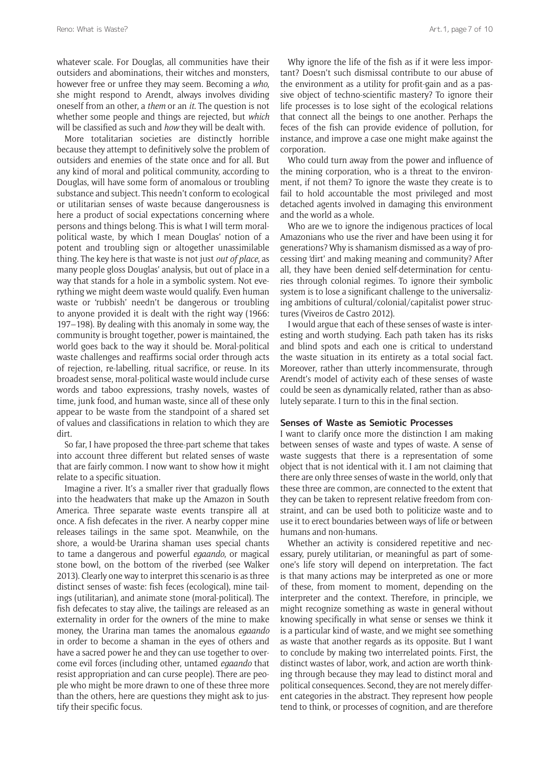whatever scale. For Douglas, all communities have their outsiders and abominations, their witches and monsters, however free or unfree they may seem. Becoming a *who*, she might respond to Arendt, always involves dividing oneself from an other, a *them* or an *it*. The question is not whether some people and things are rejected, but *which* will be classified as such and *how* they will be dealt with.

More totalitarian societies are distinctly horrible because they attempt to definitively solve the problem of outsiders and enemies of the state once and for all. But any kind of moral and political community, according to Douglas, will have some form of anomalous or troubling substance and subject. This needn't conform to ecological or utilitarian senses of waste because dangerousness is here a product of social expectations concerning where persons and things belong. This is what I will term moralpolitical waste, by which I mean Douglas' notion of a potent and troubling sign or altogether unassimilable thing. The key here is that waste is not just *out of place*, as many people gloss Douglas' analysis, but out of place in a way that stands for a hole in a symbolic system. Not everything we might deem waste would qualify. Even human waste or 'rubbish' needn't be dangerous or troubling to anyone provided it is dealt with the right way (1966: 197–198). By dealing with this anomaly in some way, the community is brought together, power is maintained, the world goes back to the way it should be. Moral-political waste challenges and reaffirms social order through acts of rejection, re-labelling, ritual sacrifice, or reuse. In its broadest sense, moral-political waste would include curse words and taboo expressions, trashy novels, wastes of time, junk food, and human waste, since all of these only appear to be waste from the standpoint of a shared set of values and classifications in relation to which they are dirt.

So far, I have proposed the three-part scheme that takes into account three different but related senses of waste that are fairly common. I now want to show how it might relate to a specific situation.

Imagine a river. It's a smaller river that gradually flows into the headwaters that make up the Amazon in South America. Three separate waste events transpire all at once. A fish defecates in the river. A nearby copper mine releases tailings in the same spot. Meanwhile, on the shore, a would-be Urarina shaman uses special chants to tame a dangerous and powerful *egaando*, or magical stone bowl, on the bottom of the riverbed (see Walker 2013). Clearly one way to interpret this scenario is as three distinct senses of waste: fish feces (ecological), mine tailings (utilitarian), and animate stone (moral-political). The fish defecates to stay alive, the tailings are released as an externality in order for the owners of the mine to make money, the Urarina man tames the anomalous *egaando* in order to become a shaman in the eyes of others and have a sacred power he and they can use together to overcome evil forces (including other, untamed *egaando* that resist appropriation and can curse people). There are people who might be more drawn to one of these three more than the others, here are questions they might ask to justify their specific focus.

Why ignore the life of the fish as if it were less important? Doesn't such dismissal contribute to our abuse of the environment as a utility for profit-gain and as a passive object of techno-scientific mastery? To ignore their life processes is to lose sight of the ecological relations that connect all the beings to one another. Perhaps the feces of the fish can provide evidence of pollution, for instance, and improve a case one might make against the corporation.

Who could turn away from the power and influence of the mining corporation, who is a threat to the environment, if not them? To ignore the waste they create is to fail to hold accountable the most privileged and most detached agents involved in damaging this environment and the world as a whole.

Who are we to ignore the indigenous practices of local Amazonians who use the river and have been using it for generations? Why is shamanism dismissed as a way of processing 'dirt' and making meaning and community? After all, they have been denied self-determination for centuries through colonial regimes. To ignore their symbolic system is to lose a significant challenge to the universalizing ambitions of cultural/colonial/capitalist power structures (Viveiros de Castro 2012).

I would argue that each of these senses of waste is interesting and worth studying. Each path taken has its risks and blind spots and each one is critical to understand the waste situation in its entirety as a total social fact. Moreover, rather than utterly incommensurate, through Arendt's model of activity each of these senses of waste could be seen as dynamically related, rather than as absolutely separate. I turn to this in the final section.

## **Senses of Waste as Semiotic Processes**

I want to clarify once more the distinction I am making between senses of waste and types of waste. A sense of waste suggests that there is a representation of some object that is not identical with it. I am not claiming that there are only three senses of waste in the world, only that these three are common, are connected to the extent that they can be taken to represent relative freedom from constraint, and can be used both to politicize waste and to use it to erect boundaries between ways of life or between humans and non-humans.

Whether an activity is considered repetitive and necessary, purely utilitarian, or meaningful as part of someone's life story will depend on interpretation. The fact is that many actions may be interpreted as one or more of these, from moment to moment, depending on the interpreter and the context. Therefore, in principle, we might recognize something as waste in general without knowing specifically in what sense or senses we think it is a particular kind of waste, and we might see something as waste that another regards as its opposite. But I want to conclude by making two interrelated points. First, the distinct wastes of labor, work, and action are worth thinking through because they may lead to distinct moral and political consequences. Second, they are not merely different categories in the abstract. They represent how people tend to think, or processes of cognition, and are therefore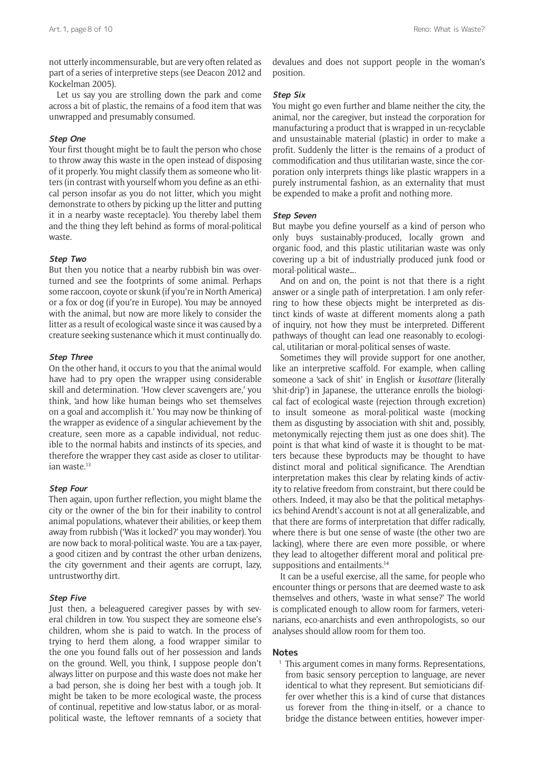not utterly incommensurable, but are very often related as part of a series of interpretive steps (see Deacon 2012 and Kockelman 2005).

Let us say you are strolling down the park and come across a bit of plastic, the remains of a food item that was unwrapped and presumably consumed.

# **Step One**

Your first thought might be to fault the person who chose to throw away this waste in the open instead of disposing of it properly. You might classify them as someone who litters (in contrast with yourself whom you define as an ethical person insofar as you do not litter, which you might demonstrate to others by picking up the litter and putting it in a nearby waste receptacle). You thereby label them and the thing they left behind as forms of moral-political waste.

#### **Step Two**

But then you notice that a nearby rubbish bin was overturned and see the footprints of some animal. Perhaps some raccoon, coyote or skunk (if you're in North America) or a fox or dog (if you're in Europe). You may be annoyed with the animal, but now are more likely to consider the litter as a result of ecological waste since it was caused by a creature seeking sustenance which it must continually do.

#### **Step Three**

On the other hand, it occurs to you that the animal would have had to pry open the wrapper using considerable skill and determination. 'How clever scavengers are,' you think, 'and how like human beings who set themselves on a goal and accomplish it.' You may now be thinking of the wrapper as evidence of a singular achievement by the creature, seen more as a capable individual, not reducible to the normal habits and instincts of its species, and therefore the wrapper they cast aside as closer to utilitarian waste.13

#### **Step Four**

Then again, upon further reflection, you might blame the city or the owner of the bin for their inability to control animal populations, whatever their abilities, or keep them away from rubbish ('Was it locked?' you may wonder). You are now back to moral-political waste. You are a tax-payer, a good citizen and by contrast the other urban denizens, the city government and their agents are corrupt, lazy, untrustworthy dirt.

#### **Step Five**

Just then, a beleaguered caregiver passes by with several children in tow. You suspect they are someone else's children, whom she is paid to watch. In the process of trying to herd them along, a food wrapper similar to the one you found falls out of her possession and lands on the ground. Well, you think, I suppose people don't always litter on purpose and this waste does not make her a bad person, she is doing her best with a tough job. It might be taken to be more ecological waste, the process of continual, repetitive and low-status labor, or as moralpolitical waste, the leftover remnants of a society that

devalues and does not support people in the woman's position.

# **Step Six**

You might go even further and blame neither the city, the animal, nor the caregiver, but instead the corporation for manufacturing a product that is wrapped in un-recyclable and unsustainable material (plastic) in order to make a profit. Suddenly the litter is the remains of a product of commodification and thus utilitarian waste, since the corporation only interprets things like plastic wrappers in a purely instrumental fashion, as an externality that must be expended to make a profit and nothing more.

## **Step Seven**

But maybe you define yourself as a kind of person who only buys sustainably-produced, locally grown and organic food, and this plastic utilitarian waste was only covering up a bit of industrially produced junk food or moral-political waste….

And on and on, the point is not that there is a right answer or a single path of interpretation. I am only referring to how these objects might be interpreted as distinct kinds of waste at different moments along a path of inquiry, not how they must be interpreted. Different pathways of thought can lead one reasonably to ecological, utilitarian or moral-political senses of waste.

Sometimes they will provide support for one another, like an interpretive scaffold. For example, when calling someone a 'sack of shit' in English or *kusottare* (literally 'shit-drip') in Japanese, the utterance enrolls the biological fact of ecological waste (rejection through excretion) to insult someone as moral-political waste (mocking them as disgusting by association with shit and, possibly, metonymically rejecting them just as one does shit). The point is that what kind of waste it is thought to be matters because these byproducts may be thought to have distinct moral and political significance. The Arendtian interpretation makes this clear by relating kinds of activity to relative freedom from constraint, but there could be others. Indeed, it may also be that the political metaphysics behind Arendt's account is not at all generalizable, and that there are forms of interpretation that differ radically, where there is but one sense of waste (the other two are lacking), where there are even more possible, or where they lead to altogether different moral and political presuppositions and entailments.<sup>14</sup>

It can be a useful exercise, all the same, for people who encounter things or persons that are deemed waste to ask themselves and others, 'waste in what sense?' The world is complicated enough to allow room for farmers, veterinarians, eco-anarchists and even anthropologists, so our analyses should allow room for them too.

#### **Notes**

<sup>1</sup> This argument comes in many forms. Representations, from basic sensory perception to language, are never identical to what they represent. But semioticians differ over whether this is a kind of curse that distances us forever from the thing-in-itself, or a chance to bridge the distance between entities, however imper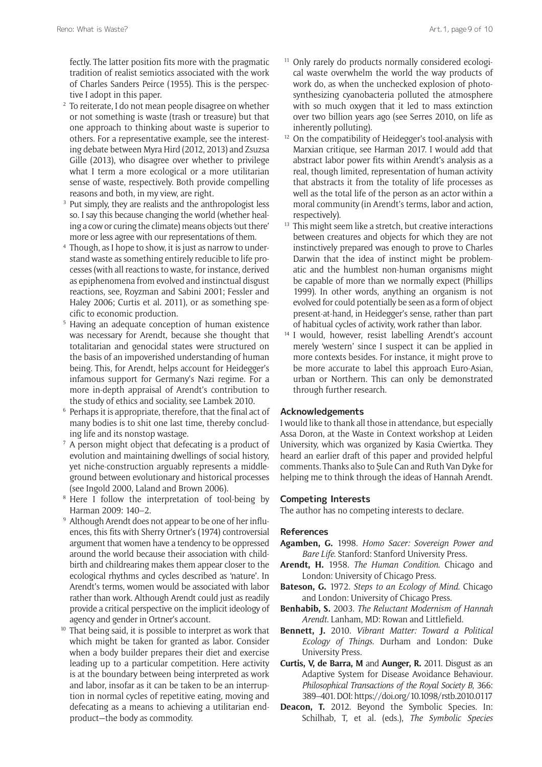fectly. The latter position fits more with the pragmatic tradition of realist semiotics associated with the work of Charles Sanders Peirce (1955). This is the perspective I adopt in this paper.

- <sup>2</sup> To reiterate, I do not mean people disagree on whether or not something is waste (trash or treasure) but that one approach to thinking about waste is superior to others. For a representative example, see the interesting debate between Myra Hird (2012, 2013) and Zsuzsa Gille (2013), who disagree over whether to privilege what I term a more ecological or a more utilitarian sense of waste, respectively. Both provide compelling reasons and both, in my view, are right.
- Put simply, they are realists and the anthropologist less so. I say this because changing the world (whether healing a cow or curing the climate) means objects 'out there' more or less agree with our representations of them.
- <sup>4</sup> Though, as I hope to show, it is just as narrow to understand waste as something entirely reducible to life processes (with all reactions to waste, for instance, derived as epiphenomena from evolved and instinctual disgust reactions, see, Royzman and Sabini 2001; Fessler and Haley 2006; Curtis et al. 2011), or as something specific to economic production.
- <sup>5</sup> Having an adequate conception of human existence was necessary for Arendt, because she thought that totalitarian and genocidal states were structured on the basis of an impoverished understanding of human being. This, for Arendt, helps account for Heidegger's infamous support for Germany's Nazi regime. For a more in-depth appraisal of Arendt's contribution to the study of ethics and sociality, see Lambek 2010.
- <sup>6</sup> Perhaps it is appropriate, therefore, that the final act of many bodies is to shit one last time, thereby concluding life and its nonstop wastage.
- <sup>7</sup> A person might object that defecating is a product of evolution and maintaining dwellings of social history, yet niche-construction arguably represents a middleground between evolutionary and historical processes (see Ingold 2000, Laland and Brown 2006).
- <sup>8</sup> Here I follow the interpretation of tool-being by Harman 2009: 140–2.
- <sup>9</sup> Although Arendt does not appear to be one of her influences, this fits with Sherry Ortner's (1974) controversial argument that women have a tendency to be oppressed around the world because their association with childbirth and childrearing makes them appear closer to the ecological rhythms and cycles described as 'nature'. In Arendt's terms, women would be associated with labor rather than work. Although Arendt could just as readily provide a critical perspective on the implicit ideology of agency and gender in Ortner's account.
- <sup>10</sup> That being said, it is possible to interpret as work that which might be taken for granted as labor. Consider when a body builder prepares their diet and exercise leading up to a particular competition. Here activity is at the boundary between being interpreted as work and labor, insofar as it can be taken to be an interruption in normal cycles of repetitive eating, moving and defecating as a means to achieving a utilitarian endproduct—the body as commodity.
- <sup>11</sup> Only rarely do products normally considered ecological waste overwhelm the world the way products of work do, as when the unchecked explosion of photosynthesizing cyanobacteria polluted the atmosphere with so much oxygen that it led to mass extinction over two billion years ago (see Serres 2010, on life as inherently polluting).
- <sup>12</sup> On the compatibility of Heidegger's tool-analysis with Marxian critique, see Harman 2017. I would add that abstract labor power fits within Arendt's analysis as a real, though limited, representation of human activity that abstracts it from the totality of life processes as well as the total life of the person as an actor within a moral community (in Arendt's terms, labor and action, respectively).
- This might seem like a stretch, but creative interactions between creatures and objects for which they are not instinctively prepared was enough to prove to Charles Darwin that the idea of instinct might be problematic and the humblest non-human organisms might be capable of more than we normally expect (Phillips 1999). In other words, anything an organism is not evolved for could potentially be seen as a form of object present-at-hand, in Heidegger's sense, rather than part of habitual cycles of activity, work rather than labor.
- <sup>14</sup> I would, however, resist labelling Arendt's account merely 'western' since I suspect it can be applied in more contexts besides. For instance, it might prove to be more accurate to label this approach Euro-Asian, urban or Northern. This can only be demonstrated through further research.

# **Acknowledgements**

I would like to thank all those in attendance, but especially Assa Doron, at the Waste in Context workshop at Leiden University, which was organized by Kasia Cwiertka. They heard an earlier draft of this paper and provided helpful comments. Thanks also to Şule Can and Ruth Van Dyke for helping me to think through the ideas of Hannah Arendt.

#### **Competing Interests**

The author has no competing interests to declare.

# **References**

- **Agamben, G.** 1998. *Homo Sacer: Sovereign Power and Bare Life*. Stanford: Stanford University Press.
- **Arendt, H.** 1958. *The Human Condition*. Chicago and London: University of Chicago Press.
- **Bateson, G.** 1972. *Steps to an Ecology of Mind*. Chicago and London: University of Chicago Press.
- **Benhabib, S.** 2003. *The Reluctant Modernism of Hannah Arendt*. Lanham, MD: Rowan and Littlefield.
- **Bennett, J.** 2010. *Vibrant Matter: Toward a Political Ecology of Things*. Durham and London: Duke University Press.
- **Curtis, V, de Barra, M** and **Aunger, R.** 2011. Disgust as an Adaptive System for Disease Avoidance Behaviour. *Philosophical Transactions of the Royal Society B*, 366: 389–401. DOI:<https://doi.org/10.1098/rstb.2010.0117>
- **Deacon, T.** 2012. Beyond the Symbolic Species. In: Schilhab, T, et al. (eds.), *The Symbolic Species*